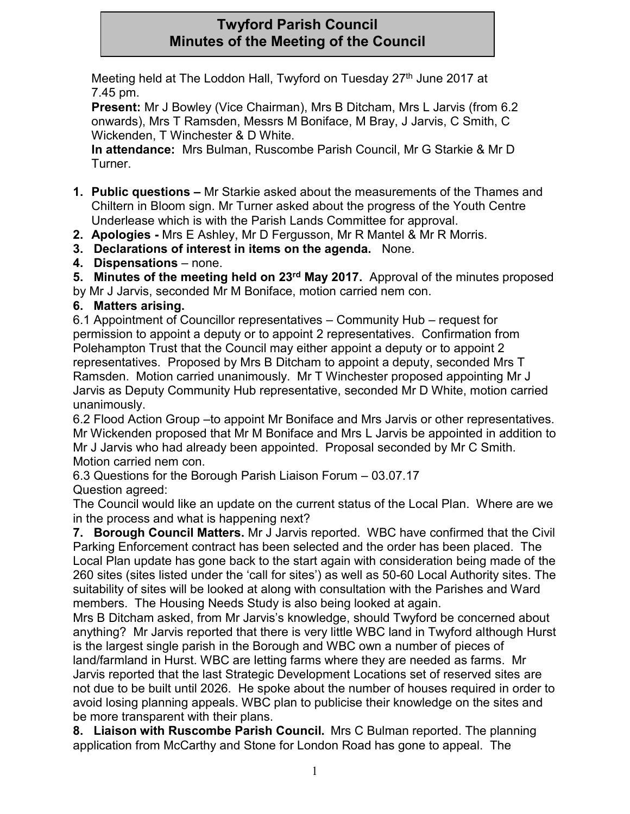# **Twyford Parish Council Minutes of the Meeting of the Council**

Meeting held at The Loddon Hall, Twyford on Tuesday 27<sup>th</sup> June 2017 at 7.45 pm.

**Present:** Mr J Bowley (Vice Chairman), Mrs B Ditcham, Mrs L Jarvis (from 6.2 onwards), Mrs T Ramsden, Messrs M Boniface, M Bray, J Jarvis, C Smith, C Wickenden, T Winchester & D White.

**In attendance:** Mrs Bulman, Ruscombe Parish Council, Mr G Starkie & Mr D Turner.

- **1. Public questions –** Mr Starkie asked about the measurements of the Thames and Chiltern in Bloom sign. Mr Turner asked about the progress of the Youth Centre Underlease which is with the Parish Lands Committee for approval.
- **2. Apologies -** Mrs E Ashley, Mr D Fergusson, Mr R Mantel & Mr R Morris.
- **3. Declarations of interest in items on the agenda.** None.
- **4. Dispensations** none.
- **5. Minutes of the meeting held on 23rd May 2017.** Approval of the minutes proposed

by Mr J Jarvis, seconded Mr M Boniface, motion carried nem con.

**6. Matters arising.**

6.1 Appointment of Councillor representatives – Community Hub – request for permission to appoint a deputy or to appoint 2 representatives. Confirmation from Polehampton Trust that the Council may either appoint a deputy or to appoint 2 representatives. Proposed by Mrs B Ditcham to appoint a deputy, seconded Mrs T Ramsden. Motion carried unanimously. Mr T Winchester proposed appointing Mr J Jarvis as Deputy Community Hub representative, seconded Mr D White, motion carried unanimously.

6.2 Flood Action Group –to appoint Mr Boniface and Mrs Jarvis or other representatives. Mr Wickenden proposed that Mr M Boniface and Mrs L Jarvis be appointed in addition to Mr J Jarvis who had already been appointed. Proposal seconded by Mr C Smith. Motion carried nem con.

6.3 Questions for the Borough Parish Liaison Forum – 03.07.17 Question agreed:

The Council would like an update on the current status of the Local Plan. Where are we in the process and what is happening next?

**7. Borough Council Matters.** Mr J Jarvis reported. WBC have confirmed that the Civil Parking Enforcement contract has been selected and the order has been placed. The Local Plan update has gone back to the start again with consideration being made of the 260 sites (sites listed under the 'call for sites') as well as 50-60 Local Authority sites. The suitability of sites will be looked at along with consultation with the Parishes and Ward members. The Housing Needs Study is also being looked at again.

Mrs B Ditcham asked, from Mr Jarvis's knowledge, should Twyford be concerned about anything? Mr Jarvis reported that there is very little WBC land in Twyford although Hurst is the largest single parish in the Borough and WBC own a number of pieces of land/farmland in Hurst. WBC are letting farms where they are needed as farms. Mr Jarvis reported that the last Strategic Development Locations set of reserved sites are not due to be built until 2026. He spoke about the number of houses required in order to avoid losing planning appeals. WBC plan to publicise their knowledge on the sites and be more transparent with their plans.

**8. Liaison with Ruscombe Parish Council.** Mrs C Bulman reported. The planning application from McCarthy and Stone for London Road has gone to appeal. The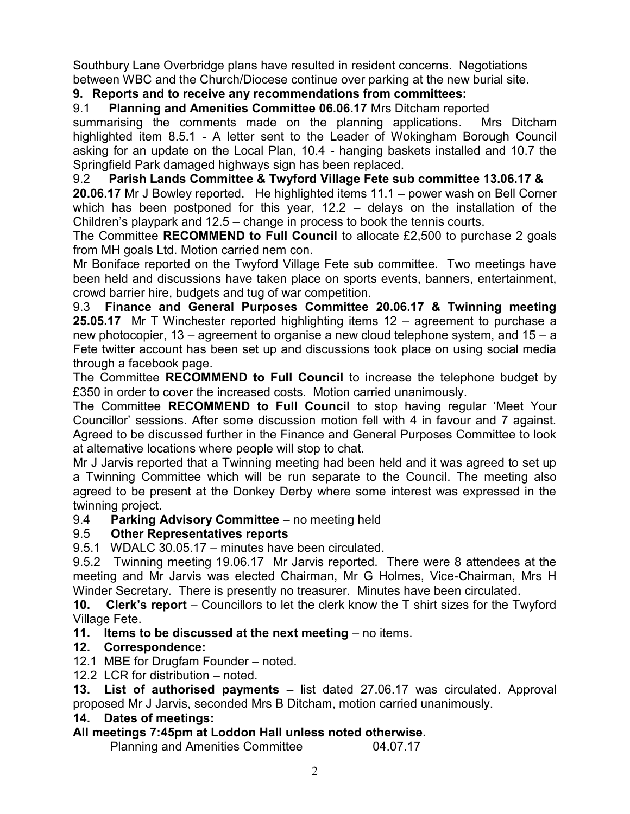Southbury Lane Overbridge plans have resulted in resident concerns. Negotiations between WBC and the Church/Diocese continue over parking at the new burial site.

### **9. Reports and to receive any recommendations from committees:**

9.1 **Planning and Amenities Committee 06.06.17** Mrs Ditcham reported

summarising the comments made on the planning applications.Mrs Ditcham highlighted item 8.5.1 - A letter sent to the Leader of Wokingham Borough Council asking for an update on the Local Plan, 10.4 - hanging baskets installed and 10.7 the Springfield Park damaged highways sign has been replaced.

9.2 **Parish Lands Committee & Twyford Village Fete sub committee 13.06.17 & 20.06.17** Mr J Bowley reported. He highlighted items 11.1 – power wash on Bell Corner which has been postponed for this year, 12.2 – delays on the installation of the Children's playpark and 12.5 – change in process to book the tennis courts.

The Committee **RECOMMEND to Full Council** to allocate £2,500 to purchase 2 goals from MH goals Ltd. Motion carried nem con.

Mr Boniface reported on the Twyford Village Fete sub committee. Two meetings have been held and discussions have taken place on sports events, banners, entertainment, crowd barrier hire, budgets and tug of war competition.

9.3 **Finance and General Purposes Committee 20.06.17 & Twinning meeting 25.05.17** Mr T Winchester reported highlighting items 12 – agreement to purchase a new photocopier, 13 – agreement to organise a new cloud telephone system, and 15 – a Fete twitter account has been set up and discussions took place on using social media through a facebook page.

The Committee **RECOMMEND to Full Council** to increase the telephone budget by £350 in order to cover the increased costs. Motion carried unanimously.

The Committee **RECOMMEND to Full Council** to stop having regular 'Meet Your Councillor' sessions. After some discussion motion fell with 4 in favour and 7 against. Agreed to be discussed further in the Finance and General Purposes Committee to look at alternative locations where people will stop to chat.

Mr J Jarvis reported that a Twinning meeting had been held and it was agreed to set up a Twinning Committee which will be run separate to the Council. The meeting also agreed to be present at the Donkey Derby where some interest was expressed in the twinning project.

### 9.4 **Parking Advisory Committee** – no meeting held

### 9.5 **Other Representatives reports**

9.5.1 WDALC 30.05.17 – minutes have been circulated.

9.5.2 Twinning meeting 19.06.17 Mr Jarvis reported. There were 8 attendees at the meeting and Mr Jarvis was elected Chairman, Mr G Holmes, Vice-Chairman, Mrs H Winder Secretary. There is presently no treasurer. Minutes have been circulated.

**10. Clerk's report** – Councillors to let the clerk know the T shirt sizes for the Twyford Village Fete.

**11. Items to be discussed at the next meeting** – no items.

## **12. Correspondence:**

12.1 MBE for Drugfam Founder – noted.

12.2 LCR for distribution – noted.

**13. List of authorised payments** – list dated 27.06.17 was circulated. Approval proposed Mr J Jarvis, seconded Mrs B Ditcham, motion carried unanimously.

### **14. Dates of meetings:**

## **All meetings 7:45pm at Loddon Hall unless noted otherwise.**

Planning and Amenities Committee 04.07.17